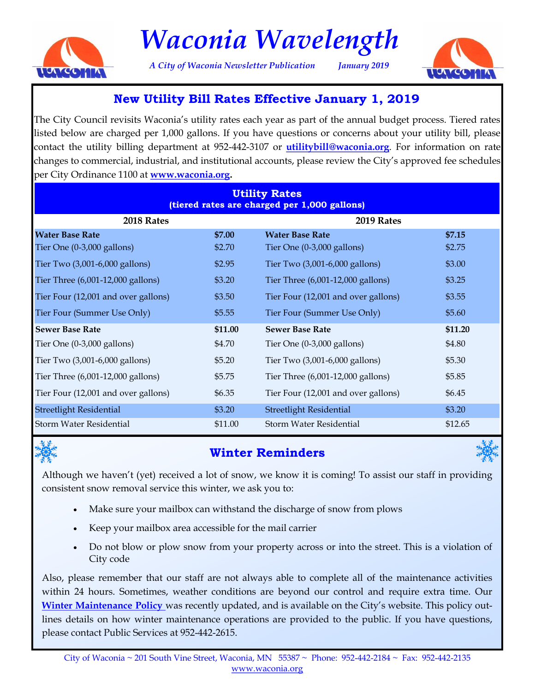

# *Waconia Wavelength*

*A City of Waconia Newsletter Publication January 2019*



## **New Utility Bill Rates Effective January 1, 2019**

The City Council revisits Waconia's utility rates each year as part of the annual budget process. Tiered rates listed below are charged per 1,000 gallons. If you have questions or concerns about your utility bill, please contact the utility billing department at 952-442-3107 or **[utilitybill@waconia.org](mailto: utilitybill@waconia.org)**. For information on rate changes to commercial, industrial, and institutional accounts, please review the City's approved fee schedules per City Ordinance 1100 at **[www.waconia.org.](http://www.waconia.org/DocumentCenter/View/990/Fee-Schedule---11018?bidId=)**

| <b>Utility Rates</b><br>(tiered rates are charged per 1,000 gallons) |         |                                      |         |
|----------------------------------------------------------------------|---------|--------------------------------------|---------|
| 2018 Rates                                                           |         | 2019 Rates                           |         |
| <b>Water Base Rate</b>                                               | \$7.00  | <b>Water Base Rate</b>               | \$7.15  |
| Tier One $(0-3,000 \text{ gallons})$                                 | \$2.70  | Tier One $(0-3,000 \text{ gallons})$ | \$2.75  |
| Tier Two (3,001-6,000 gallons)                                       | \$2.95  | Tier Two (3,001-6,000 gallons)       | \$3.00  |
| Tier Three (6,001-12,000 gallons)                                    | \$3.20  | Tier Three (6,001-12,000 gallons)    | \$3.25  |
| Tier Four (12,001 and over gallons)                                  | \$3.50  | Tier Four (12,001 and over gallons)  | \$3.55  |
| Tier Four (Summer Use Only)                                          | \$5.55  | Tier Four (Summer Use Only)          | \$5.60  |
| <b>Sewer Base Rate</b>                                               | \$11.00 | <b>Sewer Base Rate</b>               | \$11.20 |
| Tier One $(0-3,000 \text{ gallons})$                                 | \$4.70  | Tier One $(0-3,000 \text{ gallons})$ | \$4.80  |
| Tier Two (3,001-6,000 gallons)                                       | \$5.20  | Tier Two (3,001-6,000 gallons)       | \$5.30  |
| Tier Three (6,001-12,000 gallons)                                    | \$5.75  | Tier Three (6,001-12,000 gallons)    | \$5.85  |
| Tier Four (12,001 and over gallons)                                  | \$6.35  | Tier Four (12,001 and over gallons)  | \$6.45  |
| <b>Streetlight Residential</b>                                       | \$3.20  | <b>Streetlight Residential</b>       | \$3.20  |
| <b>Storm Water Residential</b>                                       | \$11.00 | Storm Water Residential              | \$12.65 |



## **Winter Reminders**



Although we haven't (yet) received a lot of snow, we know it is coming! To assist our staff in providing consistent snow removal service this winter, we ask you to:

- Make sure your mailbox can withstand the discharge of snow from plows
- Keep your mailbox area accessible for the mail carrier
- Do not blow or plow snow from your property across or into the street. This is a violation of City code

Also, please remember that our staff are not always able to complete all of the maintenance activities within 24 hours. Sometimes, weather conditions are beyond our control and require extra time. Our **[Winter Maintenance Policy](http://www.waconia.org/DocumentCenter/View/1612/2018-2019-Winter-Maintenance-Policy?bidId=)** was recently updated, and is available on the City's website. This policy outlines details on how winter maintenance operations are provided to the public. If you have questions, please contact Public Services at 952-442-2615.